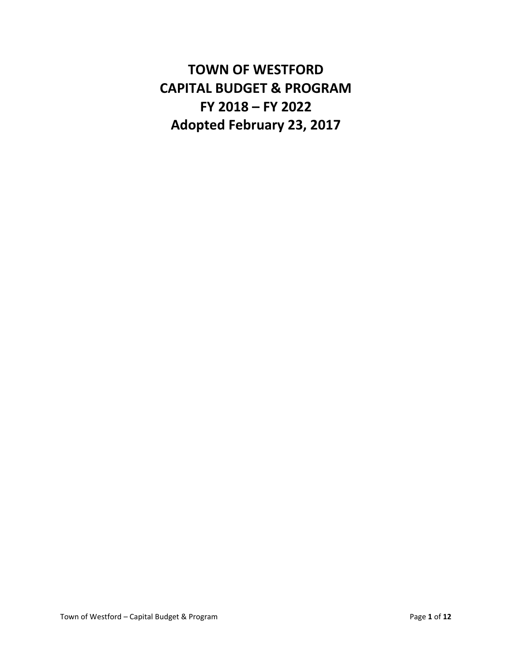**TOWN OF WESTFORD CAPITAL BUDGET & PROGRAM FY 2018 – FY 2022 Adopted February 23, 2017**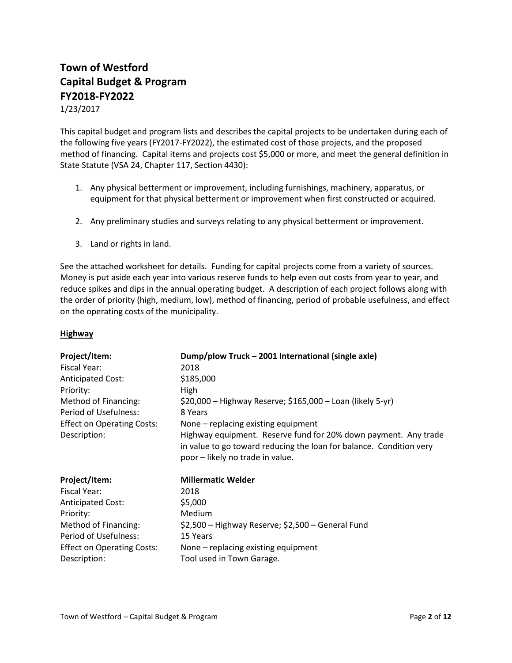# **Town of Westford Capital Budget & Program FY2018-FY2022**

1/23/2017

This capital budget and program lists and describes the capital projects to be undertaken during each of the following five years (FY2017-FY2022), the estimated cost of those projects, and the proposed method of financing. Capital items and projects cost \$5,000 or more, and meet the general definition in State Statute (VSA 24, Chapter 117, Section 4430):

- 1. Any physical betterment or improvement, including furnishings, machinery, apparatus, or equipment for that physical betterment or improvement when first constructed or acquired.
- 2. Any preliminary studies and surveys relating to any physical betterment or improvement.
- 3. Land or rights in land.

See the attached worksheet for details. Funding for capital projects come from a variety of sources. Money is put aside each year into various reserve funds to help even out costs from year to year, and reduce spikes and dips in the annual operating budget. A description of each project follows along with the order of priority (high, medium, low), method of financing, period of probable usefulness, and effect on the operating costs of the municipality.

#### **Highway**

| Project/Item:                     | Dump/plow Truck - 2001 International (single axle)                                                                                                                         |
|-----------------------------------|----------------------------------------------------------------------------------------------------------------------------------------------------------------------------|
| Fiscal Year:                      | 2018                                                                                                                                                                       |
| <b>Anticipated Cost:</b>          | \$185,000                                                                                                                                                                  |
| Priority:                         | High                                                                                                                                                                       |
| Method of Financing:              | \$20,000 - Highway Reserve; \$165,000 - Loan (likely 5-yr)                                                                                                                 |
| Period of Usefulness:             | 8 Years                                                                                                                                                                    |
| <b>Effect on Operating Costs:</b> | None – replacing existing equipment                                                                                                                                        |
| Description:                      | Highway equipment. Reserve fund for 20% down payment. Any trade<br>in value to go toward reducing the loan for balance. Condition very<br>poor - likely no trade in value. |
| Project/Item:                     | <b>Millermatic Welder</b>                                                                                                                                                  |
| Fiscal Year:                      | 2018                                                                                                                                                                       |
| <b>Anticipated Cost:</b>          | \$5,000                                                                                                                                                                    |
| Priority:                         | Medium                                                                                                                                                                     |
| Method of Financing:              | \$2,500 - Highway Reserve; \$2,500 - General Fund                                                                                                                          |
| Period of Usefulness:             | 15 Years                                                                                                                                                                   |
| <b>Effect on Operating Costs:</b> | None – replacing existing equipment                                                                                                                                        |
| Description:                      | Tool used in Town Garage.                                                                                                                                                  |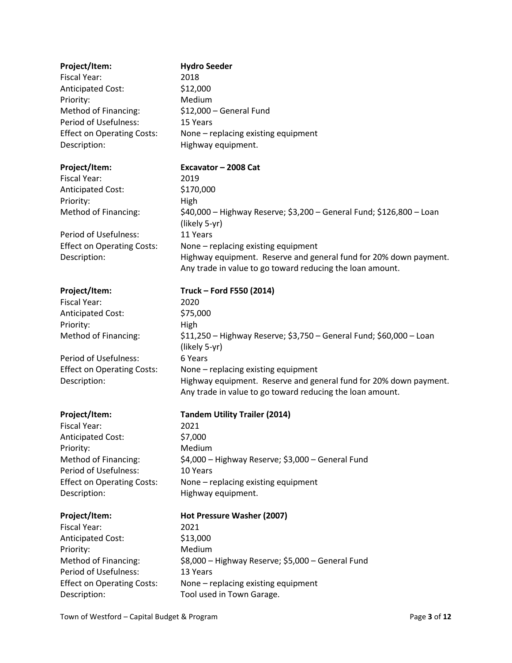| Project/Item:                     | <b>Hydro Seeder</b>                                                                                                            |
|-----------------------------------|--------------------------------------------------------------------------------------------------------------------------------|
| <b>Fiscal Year:</b>               | 2018                                                                                                                           |
| <b>Anticipated Cost:</b>          | \$12,000                                                                                                                       |
| Priority:                         | Medium                                                                                                                         |
| Method of Financing:              | \$12,000 - General Fund                                                                                                        |
| Period of Usefulness:             | 15 Years                                                                                                                       |
| <b>Effect on Operating Costs:</b> | None - replacing existing equipment                                                                                            |
| Description:                      | Highway equipment.                                                                                                             |
| Project/Item:                     | Excavator - 2008 Cat                                                                                                           |
| <b>Fiscal Year:</b>               | 2019                                                                                                                           |
| <b>Anticipated Cost:</b>          | \$170,000                                                                                                                      |
| Priority:                         | High                                                                                                                           |
| Method of Financing:              | \$40,000 - Highway Reserve; \$3,200 - General Fund; \$126,800 - Loan<br>(likely 5-yr)                                          |
| Period of Usefulness:             | 11 Years                                                                                                                       |
| <b>Effect on Operating Costs:</b> | None - replacing existing equipment                                                                                            |
| Description:                      | Highway equipment. Reserve and general fund for 20% down payment.<br>Any trade in value to go toward reducing the loan amount. |
| Project/Item:                     | Truck - Ford F550 (2014)                                                                                                       |
| <b>Fiscal Year:</b>               | 2020                                                                                                                           |
| <b>Anticipated Cost:</b>          | \$75,000                                                                                                                       |
| Priority:                         | High                                                                                                                           |
| Method of Financing:              | \$11,250 - Highway Reserve; \$3,750 - General Fund; \$60,000 - Loan<br>(likely 5-yr)                                           |
| Period of Usefulness:             | 6 Years                                                                                                                        |
| <b>Effect on Operating Costs:</b> | None - replacing existing equipment                                                                                            |
| Description:                      | Highway equipment. Reserve and general fund for 20% down payment.<br>Any trade in value to go toward reducing the loan amount. |
| Project/Item:                     | <b>Tandem Utility Trailer (2014)</b>                                                                                           |
| <b>Fiscal Year:</b>               | 2021                                                                                                                           |
| <b>Anticipated Cost:</b>          | \$7,000                                                                                                                        |
| Priority:                         | Medium                                                                                                                         |
| Method of Financing:              | \$4,000 - Highway Reserve; \$3,000 - General Fund                                                                              |
| Period of Usefulness:             | 10 Years                                                                                                                       |
| <b>Effect on Operating Costs:</b> | None - replacing existing equipment                                                                                            |
| Description:                      | Highway equipment.                                                                                                             |
| Project/Item:                     | Hot Pressure Washer (2007)                                                                                                     |
| <b>Fiscal Year:</b>               | 2021                                                                                                                           |
| <b>Anticipated Cost:</b>          | \$13,000                                                                                                                       |
| Priority:                         | Medium                                                                                                                         |
| Method of Financing:              | \$8,000 - Highway Reserve; \$5,000 - General Fund                                                                              |
| Period of Usefulness:             | 13 Years                                                                                                                       |
| <b>Effect on Operating Costs:</b> | None - replacing existing equipment                                                                                            |
| Description:                      | Tool used in Town Garage.                                                                                                      |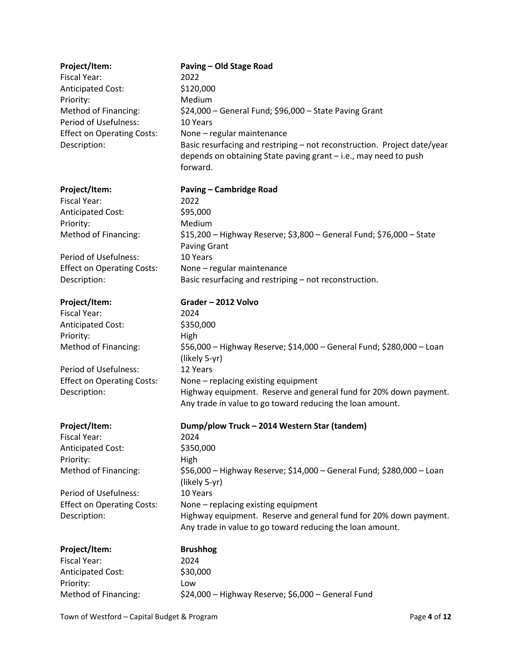| Project/Item:<br><b>Fiscal Year:</b> | <b>Paving - Old Stage Road</b><br>2022                                   |
|--------------------------------------|--------------------------------------------------------------------------|
| <b>Anticipated Cost:</b>             | \$120,000                                                                |
| Priority:                            | Medium                                                                   |
| Method of Financing:                 | \$24,000 - General Fund; \$96,000 - State Paving Grant                   |
| Period of Usefulness:                | 10 Years                                                                 |
| <b>Effect on Operating Costs:</b>    | None - regular maintenance                                               |
| Description:                         | Basic resurfacing and restriping - not reconstruction. Project date/year |
|                                      | depends on obtaining State paving grant - i.e., may need to push         |
|                                      | forward.                                                                 |
| Project/Item:                        | <b>Paving - Cambridge Road</b>                                           |
| <b>Fiscal Year:</b>                  | 2022                                                                     |
| <b>Anticipated Cost:</b>             | \$95,000                                                                 |
| Priority:                            | Medium                                                                   |
| Method of Financing:                 | \$15,200 - Highway Reserve; \$3,800 - General Fund; \$76,000 - State     |
|                                      | <b>Paving Grant</b>                                                      |
| Period of Usefulness:                | 10 Years                                                                 |
| <b>Effect on Operating Costs:</b>    | None - regular maintenance                                               |
| Description:                         | Basic resurfacing and restriping - not reconstruction.                   |
| Project/Item:                        | Grader - 2012 Volvo                                                      |
| <b>Fiscal Year:</b>                  | 2024                                                                     |
| <b>Anticipated Cost:</b>             | \$350,000                                                                |
| Priority:                            | High                                                                     |
| Method of Financing:                 | \$56,000 - Highway Reserve; \$14,000 - General Fund; \$280,000 - Loan    |
| Period of Usefulness:                | (likely 5-yr)<br>12 Years                                                |
| <b>Effect on Operating Costs:</b>    | None - replacing existing equipment                                      |
| Description:                         | Highway equipment. Reserve and general fund for 20% down payment.        |
|                                      | Any trade in value to go toward reducing the loan amount.                |
| Project/Item:                        | Dump/plow Truck - 2014 Western Star (tandem)                             |
| <b>Fiscal Year:</b>                  | 2024                                                                     |
| <b>Anticipated Cost:</b>             | \$350,000                                                                |
| Priority:                            | High                                                                     |
| Method of Financing:                 | \$56,000 - Highway Reserve; \$14,000 - General Fund; \$280,000 - Loan    |
|                                      | (likely 5-yr)                                                            |
| Period of Usefulness:                | 10 Years                                                                 |
| <b>Effect on Operating Costs:</b>    | None - replacing existing equipment                                      |
| Description:                         | Highway equipment. Reserve and general fund for 20% down payment.        |
|                                      | Any trade in value to go toward reducing the loan amount.                |
| Project/Item:                        | <b>Brushhog</b>                                                          |
| <b>Fiscal Year:</b>                  | 2024                                                                     |
| <b>Anticipated Cost:</b>             | \$30,000                                                                 |
| Priority:                            | Low                                                                      |
| Method of Financing:                 | \$24,000 - Highway Reserve; \$6,000 - General Fund                       |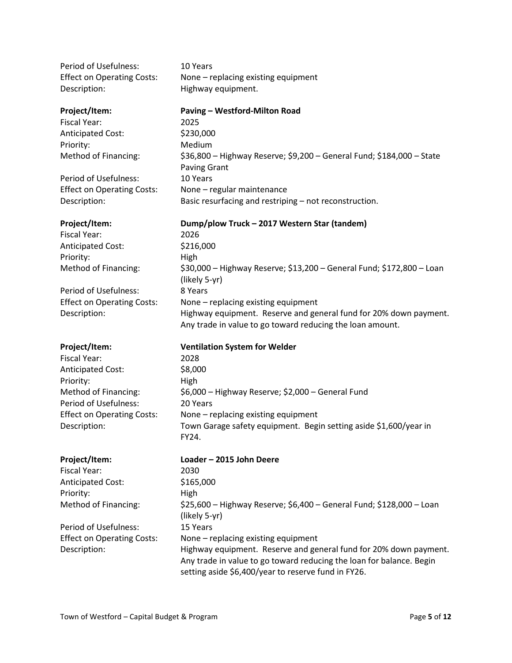| Period of Usefulness:             | 10 Years                                                                                                                                                                                         |
|-----------------------------------|--------------------------------------------------------------------------------------------------------------------------------------------------------------------------------------------------|
| <b>Effect on Operating Costs:</b> | None - replacing existing equipment                                                                                                                                                              |
| Description:                      | Highway equipment.                                                                                                                                                                               |
| Project/Item:                     | Paving - Westford-Milton Road                                                                                                                                                                    |
| <b>Fiscal Year:</b>               | 2025                                                                                                                                                                                             |
| <b>Anticipated Cost:</b>          | \$230,000                                                                                                                                                                                        |
| Priority:                         | Medium                                                                                                                                                                                           |
| Method of Financing:              | \$36,800 - Highway Reserve; \$9,200 - General Fund; \$184,000 - State<br><b>Paving Grant</b>                                                                                                     |
| Period of Usefulness:             | 10 Years                                                                                                                                                                                         |
| <b>Effect on Operating Costs:</b> | None - regular maintenance                                                                                                                                                                       |
| Description:                      | Basic resurfacing and restriping - not reconstruction.                                                                                                                                           |
| Project/Item:                     | Dump/plow Truck - 2017 Western Star (tandem)                                                                                                                                                     |
| Fiscal Year:                      | 2026                                                                                                                                                                                             |
| <b>Anticipated Cost:</b>          | \$216,000                                                                                                                                                                                        |
| Priority:                         | High                                                                                                                                                                                             |
| Method of Financing:              | \$30,000 - Highway Reserve; \$13,200 - General Fund; \$172,800 - Loan<br>(likely 5-yr)                                                                                                           |
| Period of Usefulness:             | 8 Years                                                                                                                                                                                          |
| <b>Effect on Operating Costs:</b> | None - replacing existing equipment                                                                                                                                                              |
| Description:                      | Highway equipment. Reserve and general fund for 20% down payment.<br>Any trade in value to go toward reducing the loan amount.                                                                   |
| Project/Item:                     | <b>Ventilation System for Welder</b>                                                                                                                                                             |
| <b>Fiscal Year:</b>               | 2028                                                                                                                                                                                             |
| <b>Anticipated Cost:</b>          | \$8,000                                                                                                                                                                                          |
| Priority:                         | High                                                                                                                                                                                             |
| Method of Financing:              | \$6,000 - Highway Reserve; \$2,000 - General Fund                                                                                                                                                |
| Period of Usefulness:             | 20 Years                                                                                                                                                                                         |
| <b>Effect on Operating Costs:</b> | None - replacing existing equipment                                                                                                                                                              |
| Description:                      | Town Garage safety equipment. Begin setting aside \$1,600/year in<br>FY24.                                                                                                                       |
| Project/Item:                     | Loader - 2015 John Deere                                                                                                                                                                         |
| <b>Fiscal Year:</b>               | 2030                                                                                                                                                                                             |
| <b>Anticipated Cost:</b>          | \$165,000                                                                                                                                                                                        |
| Priority:                         | High                                                                                                                                                                                             |
| Method of Financing:              | \$25,600 - Highway Reserve; \$6,400 - General Fund; \$128,000 - Loan<br>(likely 5-yr)                                                                                                            |
| Period of Usefulness:             | 15 Years                                                                                                                                                                                         |
| <b>Effect on Operating Costs:</b> | None - replacing existing equipment                                                                                                                                                              |
| Description:                      | Highway equipment. Reserve and general fund for 20% down payment.<br>Any trade in value to go toward reducing the loan for balance. Begin<br>setting aside \$6,400/year to reserve fund in FY26. |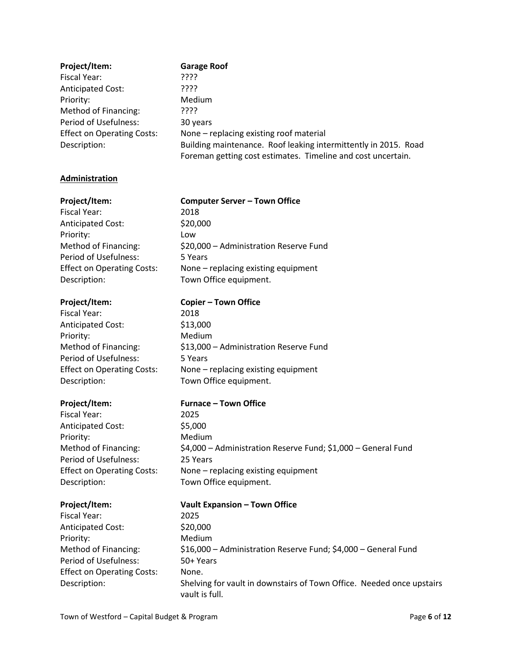| Project/Item:                     | <b>Garage Roof</b>                                              |
|-----------------------------------|-----------------------------------------------------------------|
| Fiscal Year:                      | ????                                                            |
| <b>Anticipated Cost:</b>          | ????                                                            |
| Priority:                         | Medium                                                          |
| Method of Financing:              | ????                                                            |
| Period of Usefulness:             | 30 years                                                        |
| <b>Effect on Operating Costs:</b> | None – replacing existing roof material                         |
| Description:                      | Building maintenance. Roof leaking intermittently in 2015. Road |
|                                   | Foreman getting cost estimates. Timeline and cost uncertain.    |

#### **Administration**

| Project/Item: | <b>Computer Server - Town Office</b> |
|---------------|--------------------------------------|
|               |                                      |

Fiscal Year: 2018 Anticipated Cost: \$20,000 Priority: Low Period of Usefulness: 5 Years Description: Town Office equipment.

Fiscal Year: 2018 Anticipated Cost: \$13,000 Priority: Medium Period of Usefulness: 5 Years Description: Town Office equipment.

Fiscal Year: 2025 Anticipated Cost: \$5,000 Priority: Medium Period of Usefulness: 25 Years Description: Town Office equipment.

Fiscal Year: 2025 Anticipated Cost: \$20,000 Priority: Medium Period of Usefulness: 50+ Years Effect on Operating Costs: None.

Method of Financing: \$20,000 – Administration Reserve Fund Effect on Operating Costs: None – replacing existing equipment

### **Project/Item: Copier – Town Office**

Method of Financing:  $$13,000 -$  Administration Reserve Fund Effect on Operating Costs: None – replacing existing equipment

### **Project/Item: Furnace – Town Office**

Method of Financing: \$4,000 – Administration Reserve Fund; \$1,000 – General Fund Effect on Operating Costs: None – replacing existing equipment

**Project/Item: Vault Expansion – Town Office**

Method of Financing: \$16,000 – Administration Reserve Fund; \$4,000 – General Fund Description: Shelving for vault in downstairs of Town Office. Needed once upstairs vault is full.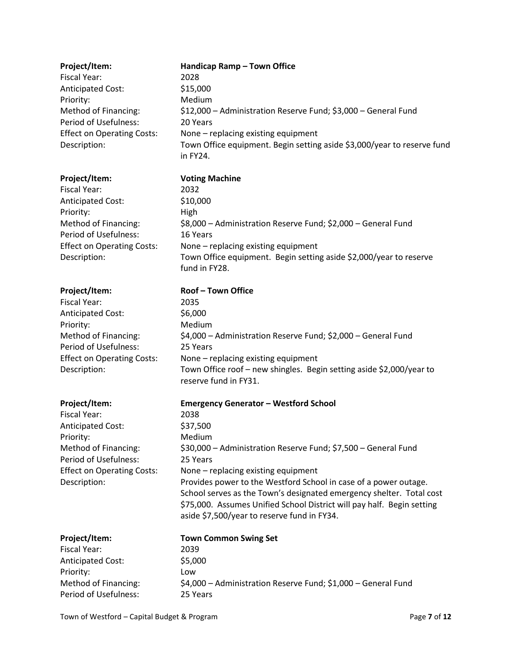| Project/Item:<br><b>Fiscal Year:</b><br><b>Anticipated Cost:</b><br>Priority:<br>Method of Financing:<br><b>Period of Usefulness:</b><br><b>Effect on Operating Costs:</b><br>Description: | Handicap Ramp - Town Office<br>2028<br>\$15,000<br>Medium<br>\$12,000 - Administration Reserve Fund; \$3,000 - General Fund<br>20 Years<br>None - replacing existing equipment<br>Town Office equipment. Begin setting aside \$3,000/year to reserve fund<br>in FY24.                                                                                                                                                                                                |
|--------------------------------------------------------------------------------------------------------------------------------------------------------------------------------------------|----------------------------------------------------------------------------------------------------------------------------------------------------------------------------------------------------------------------------------------------------------------------------------------------------------------------------------------------------------------------------------------------------------------------------------------------------------------------|
| Project/Item:<br>Fiscal Year:<br><b>Anticipated Cost:</b><br>Priority:<br>Method of Financing:<br>Period of Usefulness:<br><b>Effect on Operating Costs:</b><br>Description:               | <b>Voting Machine</b><br>2032<br>\$10,000<br>High<br>\$8,000 - Administration Reserve Fund; \$2,000 - General Fund<br>16 Years<br>None - replacing existing equipment<br>Town Office equipment. Begin setting aside \$2,000/year to reserve<br>fund in FY28.                                                                                                                                                                                                         |
| Project/Item:<br><b>Fiscal Year:</b><br><b>Anticipated Cost:</b><br>Priority:<br>Method of Financing:<br>Period of Usefulness:<br><b>Effect on Operating Costs:</b><br>Description:        | <b>Roof-Town Office</b><br>2035<br>\$6,000<br>Medium<br>\$4,000 - Administration Reserve Fund; \$2,000 - General Fund<br>25 Years<br>None - replacing existing equipment<br>Town Office roof - new shingles. Begin setting aside \$2,000/year to<br>reserve fund in FY31.                                                                                                                                                                                            |
| Project/Item:<br><b>Fiscal Year:</b><br><b>Anticipated Cost:</b><br>Priority:<br>Method of Financing:<br>Period of Usefulness:<br><b>Effect on Operating Costs:</b><br>Description:        | <b>Emergency Generator - Westford School</b><br>2038<br>\$37,500<br>Medium<br>\$30,000 - Administration Reserve Fund; \$7,500 - General Fund<br>25 Years<br>None - replacing existing equipment<br>Provides power to the Westford School in case of a power outage.<br>School serves as the Town's designated emergency shelter. Total cost<br>\$75,000. Assumes Unified School District will pay half. Begin setting<br>aside \$7,500/year to reserve fund in FY34. |
| Project/Item:<br><b>Fiscal Year:</b><br><b>Anticipated Cost:</b><br>Priority:<br>Method of Financing:<br>Period of Usefulness:                                                             | <b>Town Common Swing Set</b><br>2039<br>\$5,000<br>Low<br>\$4,000 - Administration Reserve Fund; \$1,000 - General Fund<br>25 Years                                                                                                                                                                                                                                                                                                                                  |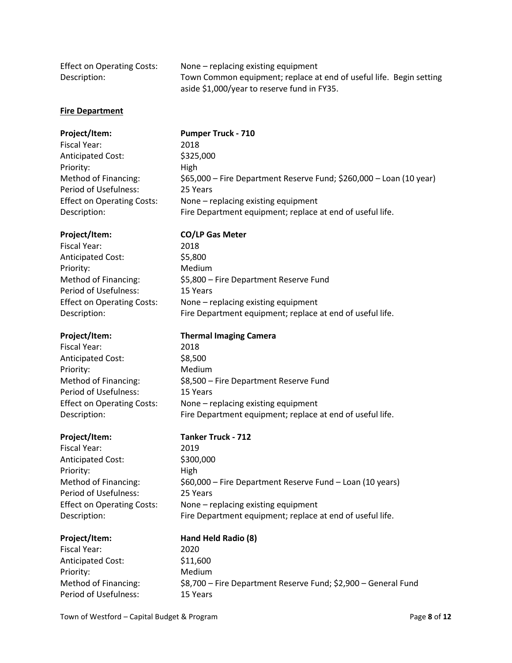| <b>Effect on Operating Costs:</b> | None $-$ replacing existing equipment                               |  |
|-----------------------------------|---------------------------------------------------------------------|--|
| Description:                      | Town Common equipment; replace at end of useful life. Begin setting |  |
|                                   | aside \$1,000/year to reserve fund in FY35.                         |  |

### **Fire Department**

### **Project/Item: Pumper Truck - 710**

Fiscal Year: 2018 Anticipated Cost: \$325,000 Priority: High Period of Usefulness: 25 Years

Method of Financing: \$65,000 – Fire Department Reserve Fund; \$260,000 – Loan (10 year) Effect on Operating Costs: None – replacing existing equipment Description: Fire Department equipment; replace at end of useful life.

#### **Project/Item: CO/LP Gas Meter**

Fiscal Year: 2018 Anticipated Cost: \$5,800 Priority: Medium Method of Financing:  $$5,800 -$  Fire Department Reserve Fund Period of Usefulness: 15 Years Effect on Operating Costs: None – replacing existing equipment Description: Fire Department equipment; replace at end of useful life.

#### **Project/Item: Thermal Imaging Camera**

Fiscal Year: 2018 Anticipated Cost: \$8,500 Priority: Medium Method of Financing:  $$8,500 -$  Fire Department Reserve Fund Period of Usefulness: 15 Years Effect on Operating Costs: None – replacing existing equipment Description: Fire Department equipment; replace at end of useful life.

#### **Project/Item: Tanker Truck - 712**

Fiscal Year: 2019 Anticipated Cost: \$300,000 Priority: High Period of Usefulness: 25 Years

Method of Financing:  $$60,000 -$  Fire Department Reserve Fund – Loan (10 years) Effect on Operating Costs: None – replacing existing equipment Description: Fire Department equipment; replace at end of useful life.

Fiscal Year: 2020 Anticipated Cost: \$11,600 Priority: Medium Period of Usefulness: 15 Years

**Project/Item: Hand Held Radio (8)** Method of Financing: \$8,700 – Fire Department Reserve Fund; \$2,900 – General Fund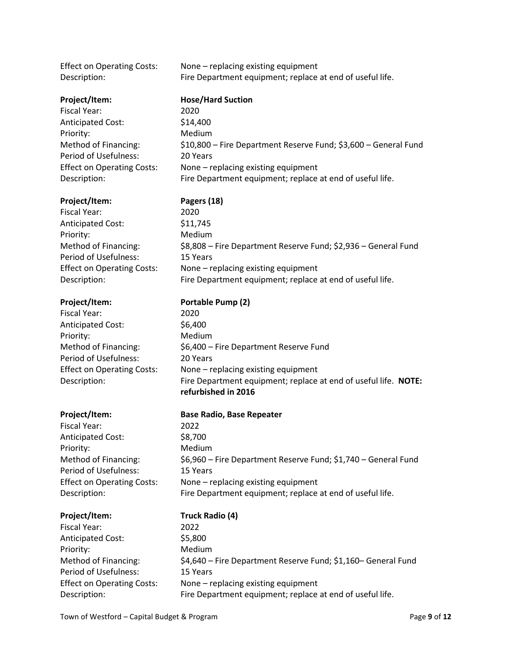| <b>Effect on Operating Costs:</b> | None - replacing existing equipment                                                    |
|-----------------------------------|----------------------------------------------------------------------------------------|
| Description:                      | Fire Department equipment; replace at end of useful life.                              |
| Project/Item:                     | <b>Hose/Hard Suction</b>                                                               |
| <b>Fiscal Year:</b>               | 2020                                                                                   |
| Anticipated Cost:                 | \$14,400                                                                               |
| Priority:                         | Medium                                                                                 |
| Method of Financing:              | \$10,800 – Fire Department Reserve Fund; \$3,600 – General Fund                        |
| Period of Usefulness:             | 20 Years                                                                               |
| <b>Effect on Operating Costs:</b> | None - replacing existing equipment                                                    |
| Description:                      | Fire Department equipment; replace at end of useful life.                              |
| Project/Item:                     | Pagers (18)                                                                            |
| Fiscal Year:                      | 2020                                                                                   |
| Anticipated Cost:                 | \$11,745                                                                               |
| Priority:                         | Medium                                                                                 |
| Method of Financing:              | \$8,808 - Fire Department Reserve Fund; \$2,936 - General Fund                         |
| Period of Usefulness:             | 15 Years                                                                               |
| <b>Effect on Operating Costs:</b> | None - replacing existing equipment                                                    |
| Description:                      | Fire Department equipment; replace at end of useful life.                              |
| Project/Item:                     | Portable Pump (2)                                                                      |
| <b>Fiscal Year:</b>               | 2020                                                                                   |
| Anticipated Cost:                 | \$6,400                                                                                |
| Priority:                         | Medium                                                                                 |
| Method of Financing:              | \$6,400 - Fire Department Reserve Fund                                                 |
| Period of Usefulness:             | 20 Years                                                                               |
| <b>Effect on Operating Costs:</b> | None - replacing existing equipment                                                    |
| Description:                      | Fire Department equipment; replace at end of useful life. NOTE:<br>refurbished in 2016 |
| Project/Item:                     | <b>Base Radio, Base Repeater</b>                                                       |
| <b>Fiscal Year:</b>               | 2022                                                                                   |
| <b>Anticipated Cost:</b>          | \$8,700                                                                                |
| Priority:                         | Medium                                                                                 |
| Method of Financing:              | \$6,960 - Fire Department Reserve Fund; \$1,740 - General Fund                         |
| Period of Usefulness:             | 15 Years                                                                               |
| <b>Effect on Operating Costs:</b> | None - replacing existing equipment                                                    |
| Description:                      | Fire Department equipment; replace at end of useful life.                              |
| Project/Item:                     | <b>Truck Radio (4)</b>                                                                 |
| <b>Fiscal Year:</b>               | 2022                                                                                   |
| <b>Anticipated Cost:</b>          | \$5,800                                                                                |
| Priority:                         | Medium                                                                                 |
| Method of Financing:              | \$4,640 - Fire Department Reserve Fund; \$1,160 - General Fund                         |
| Period of Usefulness:             | 15 Years                                                                               |
| <b>Effect on Operating Costs:</b> | None - replacing existing equipment                                                    |
| Description:                      | Fire Department equipment; replace at end of useful life.                              |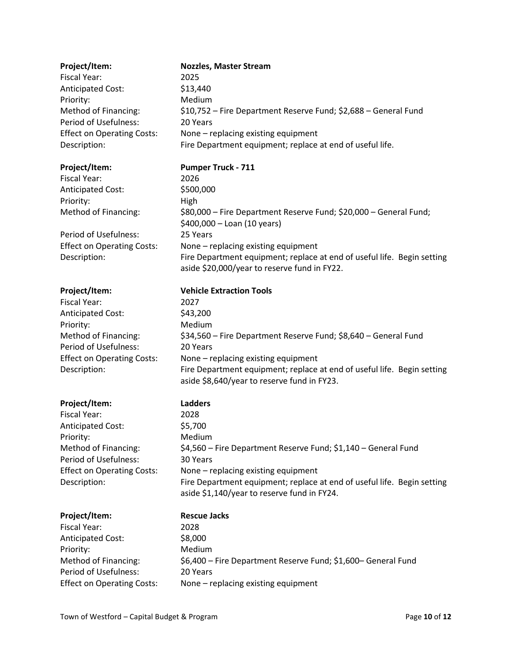| Project/Item:                     | <b>Nozzles, Master Stream</b>                                                                                           |
|-----------------------------------|-------------------------------------------------------------------------------------------------------------------------|
| Fiscal Year:                      | 2025                                                                                                                    |
| Anticipated Cost:                 | \$13,440                                                                                                                |
| Priority:                         | Medium                                                                                                                  |
| Method of Financing:              | \$10,752 – Fire Department Reserve Fund; \$2,688 – General Fund                                                         |
| Period of Usefulness:             | 20 Years                                                                                                                |
| <b>Effect on Operating Costs:</b> | None - replacing existing equipment                                                                                     |
| Description:                      | Fire Department equipment; replace at end of useful life.                                                               |
| Project/Item:                     | <b>Pumper Truck - 711</b>                                                                                               |
| <b>Fiscal Year:</b>               | 2026                                                                                                                    |
| Anticipated Cost:                 | \$500,000                                                                                                               |
| Priority:                         | High                                                                                                                    |
| Method of Financing:              | \$80,000 - Fire Department Reserve Fund; \$20,000 - General Fund;<br>\$400,000 - Loan (10 years)                        |
| Period of Usefulness:             | 25 Years                                                                                                                |
| <b>Effect on Operating Costs:</b> | None - replacing existing equipment                                                                                     |
| Description:                      | Fire Department equipment; replace at end of useful life. Begin setting<br>aside \$20,000/year to reserve fund in FY22. |
| Project/Item:                     | <b>Vehicle Extraction Tools</b>                                                                                         |
| <b>Fiscal Year:</b>               | 2027                                                                                                                    |
| <b>Anticipated Cost:</b>          | \$43,200                                                                                                                |
| Priority:                         | Medium                                                                                                                  |
| Method of Financing:              | \$34,560 - Fire Department Reserve Fund; \$8,640 - General Fund                                                         |
| Period of Usefulness:             | 20 Years                                                                                                                |
| <b>Effect on Operating Costs:</b> | None - replacing existing equipment                                                                                     |
| Description:                      | Fire Department equipment; replace at end of useful life. Begin setting<br>aside \$8,640/year to reserve fund in FY23.  |
| Project/Item:                     | <b>Ladders</b>                                                                                                          |
| <b>Fiscal Year:</b>               | 2028                                                                                                                    |
| <b>Anticipated Cost:</b>          | \$5,700                                                                                                                 |
| Priority:                         | Medium                                                                                                                  |
| Method of Financing:              | \$4,560 - Fire Department Reserve Fund; \$1,140 - General Fund                                                          |
| Period of Usefulness:             | 30 Years                                                                                                                |
| <b>Effect on Operating Costs:</b> | None - replacing existing equipment                                                                                     |
| Description:                      | Fire Department equipment; replace at end of useful life. Begin setting<br>aside \$1,140/year to reserve fund in FY24.  |
| Project/Item:                     | <b>Rescue Jacks</b>                                                                                                     |
| <b>Fiscal Year:</b>               | 2028                                                                                                                    |
| <b>Anticipated Cost:</b>          | \$8,000                                                                                                                 |
| Priority:                         | Medium                                                                                                                  |
| Method of Financing:              | \$6,400 - Fire Department Reserve Fund; \$1,600- General Fund                                                           |
| Period of Usefulness:             | 20 Years                                                                                                                |
| <b>Effect on Operating Costs:</b> | None - replacing existing equipment                                                                                     |
|                                   |                                                                                                                         |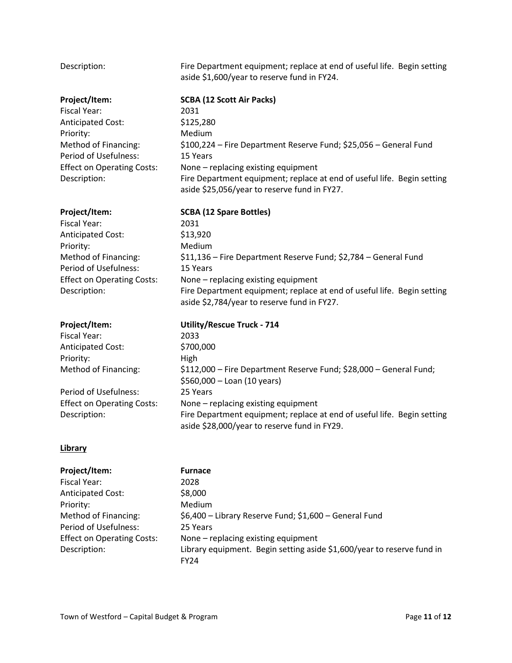| Description:                                                                                                                                                                        | Fire Department equipment; replace at end of useful life. Begin setting<br>aside \$1,600/year to reserve fund in FY24.                                                                                                                                                                                                                            |
|-------------------------------------------------------------------------------------------------------------------------------------------------------------------------------------|---------------------------------------------------------------------------------------------------------------------------------------------------------------------------------------------------------------------------------------------------------------------------------------------------------------------------------------------------|
| Project/Item:<br><b>Fiscal Year:</b><br><b>Anticipated Cost:</b><br>Priority:<br>Method of Financing:<br>Period of Usefulness:<br><b>Effect on Operating Costs:</b><br>Description: | <b>SCBA (12 Scott Air Packs)</b><br>2031<br>\$125,280<br>Medium<br>\$100,224 - Fire Department Reserve Fund; \$25,056 - General Fund<br>15 Years<br>None - replacing existing equipment<br>Fire Department equipment; replace at end of useful life. Begin setting<br>aside \$25,056/year to reserve fund in FY27.                                |
| Project/Item:<br><b>Fiscal Year:</b><br><b>Anticipated Cost:</b><br>Priority:<br>Method of Financing:<br>Period of Usefulness:<br><b>Effect on Operating Costs:</b><br>Description: | <b>SCBA (12 Spare Bottles)</b><br>2031<br>\$13,920<br>Medium<br>\$11,136 - Fire Department Reserve Fund; \$2,784 - General Fund<br>15 Years<br>None - replacing existing equipment<br>Fire Department equipment; replace at end of useful life. Begin setting<br>aside \$2,784/year to reserve fund in FY27.                                      |
| Project/Item:<br><b>Fiscal Year:</b><br><b>Anticipated Cost:</b><br>Priority:<br>Method of Financing:<br>Period of Usefulness:<br><b>Effect on Operating Costs:</b><br>Description: | <b>Utility/Rescue Truck - 714</b><br>2033<br>\$700,000<br>High<br>\$112,000 - Fire Department Reserve Fund; \$28,000 - General Fund;<br>\$560,000 - Loan (10 years)<br>25 Years<br>None - replacing existing equipment<br>Fire Department equipment; replace at end of useful life. Begin setting<br>aside \$28,000/year to reserve fund in FY29. |
|                                                                                                                                                                                     |                                                                                                                                                                                                                                                                                                                                                   |

### **Library**

| Project/Item:                     | <b>Furnace</b>                                                                        |
|-----------------------------------|---------------------------------------------------------------------------------------|
| Fiscal Year:                      | 2028                                                                                  |
| <b>Anticipated Cost:</b>          | \$8,000                                                                               |
| Priority:                         | Medium                                                                                |
| Method of Financing:              | \$6,400 - Library Reserve Fund; \$1,600 - General Fund                                |
| <b>Period of Usefulness:</b>      | 25 Years                                                                              |
| <b>Effect on Operating Costs:</b> | None - replacing existing equipment                                                   |
| Description:                      | Library equipment. Begin setting aside \$1,600/year to reserve fund in<br><b>FY24</b> |